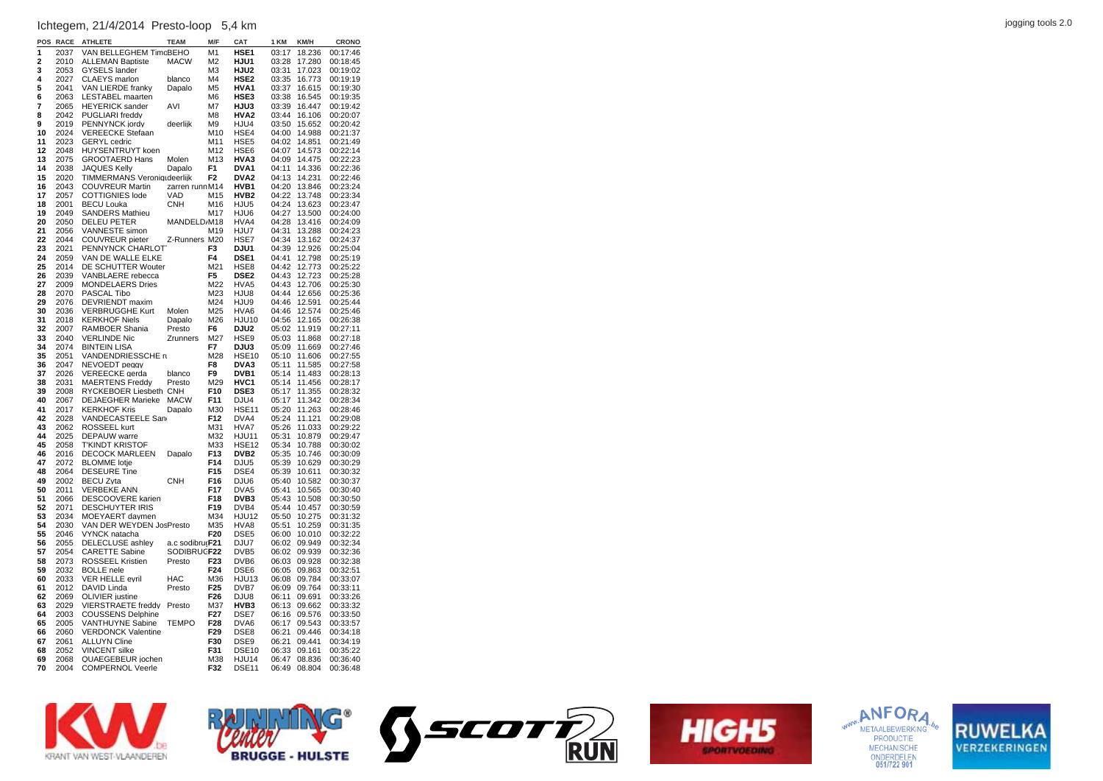## jogging tools 2.0 Ichtegem, 21/4/2014 Presto-loop 5,4 km

| POS                     | <b>RACE</b>  | <b>ATHLETE</b>                                  | <b>TEAM</b>                    | M/F                   | CAT                               | 1 KM           | KM/H             | <b>CRONO</b>         |
|-------------------------|--------------|-------------------------------------------------|--------------------------------|-----------------------|-----------------------------------|----------------|------------------|----------------------|
| 1                       | 2037         | VAN BELLEGHEM TimcBEHO                          |                                | M <sub>1</sub>        | HSE1                              | 03:17          | 18.236           | 00:17:46             |
| $\overline{\mathbf{2}}$ | 2010         | <b>ALLEMAN Baptiste</b>                         | <b>MACW</b>                    | M <sub>2</sub>        | HJU1                              | 03:28          | 17.280           | 00:18:45             |
| 3                       | 2053         | <b>GYSELS lander</b>                            |                                | M <sub>3</sub>        | HJU2                              | 03:31          | 17.023           | 00:19:02             |
| 4                       | 2027         | <b>CLAEYS</b> marlon                            | blanco                         | M <sub>4</sub>        | HSE <sub>2</sub>                  | 03:35          | 16.773           | 00:19:19             |
| 5                       | 2041         | VAN LIERDE franky                               | Dapalo                         | M <sub>5</sub>        | HVA1                              | 03:37          | 16.615           | 00:19:30             |
| 6                       | 2063         | LESTABEL maarten                                |                                | M <sub>6</sub>        | HSE3                              | 03:38          | 16.545           | 00:19:35             |
| 7                       | 2065         | <b>HEYERICK</b> sander                          | AVI                            | M7                    | HJU3                              | 03:39          | 16.447           | 00:19:42             |
| 8<br>9                  | 2042         | PUGLIARI freddy                                 |                                | M <sub>8</sub>        | HVA2                              | 03:44          | 16.106           | 00:20:07             |
| 10                      | 2019<br>2024 | PENNYNCK jordy<br><b>VEREECKE Stefaan</b>       | deerlijk                       | M <sub>9</sub><br>M10 | HJU4<br>HSE4                      | 03:50<br>04:00 | 15.652<br>14.988 | 00:20:42<br>00:21:37 |
| 11                      | 2023         | <b>GERYL</b> cedric                             |                                | M11                   | HSE <sub>5</sub>                  | 04:02          | 14.851           | 00:21:49             |
| 12                      | 2048         | HUYSENTRUYT koen                                |                                | M12                   | HSE6                              | 04:07          | 14.573           | 00:22:14             |
| 13                      | 2075         | <b>GROOTAERD Hans</b>                           | Molen                          | M13                   | HVA3                              | 04:09          | 14.475           | 00:22:23             |
| 14                      | 2038         | <b>JAQUES Kelly</b>                             | Dapalo                         | F <sub>1</sub>        | DVA <sub>1</sub>                  | 04:11          | 14.336           | 00:22:36             |
| 15                      | 2020         | TIMMERMANS Veroniqudeerlijk                     |                                | F <sub>2</sub>        | DVA <sub>2</sub>                  | 04:13          | 14.231           | 00:22:46             |
| 16                      | 2043         | <b>COUVREUR Martin</b>                          | zarren runnM14                 |                       | HVB1                              | 04:20          | 13.846           | 00:23:24             |
| 17                      | 2057         | <b>COTTIGNIES</b> lode                          | VAD                            | M15                   | HVB <sub>2</sub>                  | 04:22          | 13.748           | 00:23:34             |
| 18                      | 2001         | <b>BECU Louka</b>                               | <b>CNH</b>                     | M16                   | HJU <sub>5</sub>                  | 04:24          | 13.623           | 00:23:47             |
| 19                      | 2049         | <b>SANDERS Mathieu</b>                          |                                | M17                   | HJU6                              | 04:27          | 13.500           | 00:24:00             |
| 20                      | 2050         | <b>DELEU PETER</b>                              | MANDELD/M18                    |                       | HVA4                              | 04:28          | 13.416           | 00:24:09             |
| 21                      | 2056         | VANNESTE simon                                  |                                | M19                   | HJU7                              | 04:31          | 13.288           | 00:24:23             |
| 22<br>23                | 2044<br>2021 | COUVREUR pieter<br>PENNYNCK CHARLOT             | Z-Runners M20                  | F3                    | HSE7<br>DJU1                      | 04:34<br>04:39 | 13.162<br>12.926 | 00:24:37<br>00:25:04 |
| 24                      | 2059         | VAN DE WALLE ELKE                               |                                | F4                    | DSE1                              | 04:41          | 12.798           | 00:25:19             |
| 25                      | 2014         | DE SCHUTTER Wouter                              |                                | M21                   | HSE8                              | 04:42          | 12.773           | 00:25:22             |
| 26                      | 2039         | VANBLAERE rebecca                               |                                | F <sub>5</sub>        | DSE <sub>2</sub>                  | 04:43          | 12.723           | 00:25:28             |
| 27                      | 2009         | <b>MONDELAERS Dries</b>                         |                                | M22                   | HVA5                              | 04:43          | 12.706           | 00:25:30             |
| 28                      | 2070         | PASCAL Tibo                                     |                                | M23                   | HJU8                              | 04:44          | 12.656           | 00:25:36             |
| 29                      | 2076         | DEVRIENDT maxim                                 |                                | M24                   | HJU9                              | 04:46          | 12.591           | 00:25:44             |
| 30                      | 2036         | <b>VERBRUGGHE Kurt</b>                          | Molen                          | M25                   | HVA6                              | 04:46          | 12.574           | 00:25:46             |
| 31                      | 2018         | <b>KERKHOF Niels</b>                            | Dapalo                         | M26                   | <b>HJU10</b>                      | 04:56          | 12.165           | 00:26:38             |
| 32                      | 2007         | RAMBOER Shania                                  | Presto                         | F6                    | DJU2                              | 05:02          | 11.919           | 00:27:11             |
| 33                      | 2040         | <b>VERLINDE Nic</b>                             | <b>Zrunners</b>                | M27                   | HSE9                              | 05:03          | 11.868           | 00:27:18             |
| 34<br>35                | 2074         | <b>BINTEIN LISA</b>                             |                                | F7                    | DJU3                              | 05:09          | 11.669           | 00:27:46             |
| 36                      | 2051<br>2047 | VANDENDRIESSCHE ri<br>NEVOEDT peggy             |                                | M28<br>F <sub>8</sub> | HSE <sub>10</sub><br>DVA3         | 05:10<br>05:11 | 11.606<br>11.585 | 00:27:55<br>00:27:58 |
| 37                      | 2026         | VEREECKE gerda                                  | blanco                         | F <sub>9</sub>        | DVB1                              | 05:14          | 11.483           | 00:28:13             |
| 38                      | 2031         | <b>MAERTENS Freddy</b>                          | Presto                         | M29                   | HVC1                              | 05:14          | 11.456           | 00:28:17             |
| 39                      | 2008         | RYCKEBOER Liesbeth CNH                          |                                | F <sub>10</sub>       | <b>DSE3</b>                       | 05:17          | 11.355           | 00:28:32             |
| 40                      | 2067         | <b>DEJAEGHER Marieke</b>                        | <b>MACW</b>                    | F11                   | DJU4                              | 05:17          | 11.342           | 00:28:34             |
| 41                      | 2017         | <b>KERKHOF Kris</b>                             | Dapalo                         | M30                   | <b>HSE11</b>                      | 05:20          | 11.263           | 00:28:46             |
| 42                      | 2028         | VANDECASTEELE San                               |                                | F12                   | DVA4                              | 05:24          | 11.121           | 00:29:08             |
| 43                      | 2062         | ROSSEEL kurt                                    |                                | M31                   | HVA7                              | 05:26          | 11.033           | 00:29:22             |
| 44                      | 2025         | <b>DEPAUW</b> warre                             |                                | M32                   | <b>HJU11</b>                      | 05:31          | 10.879           | 00:29:47             |
| 45<br>46                | 2058<br>2016 | <b>T'KINDT KRISTOF</b><br><b>DECOCK MARLEEN</b> | Dapalo                         | M33<br>F13            | <b>HSE12</b><br>DVB <sub>2</sub>  | 05:34<br>05:35 | 10.788<br>10.746 | 00:30:02<br>00:30:09 |
| 47                      | 2072         | <b>BLOMME</b> lotie                             |                                | F14                   | DJU <sub>5</sub>                  | 05:39          | 10.629           | 00:30:29             |
| 48                      | 2064         | <b>DESEURE Tine</b>                             |                                | F <sub>15</sub>       | DSE4                              | 05:39          | 10.611           | 00:30:32             |
| 49                      | 2002         | <b>BECU Zyta</b>                                | <b>CNH</b>                     | F16                   | DJU6                              | 05:40          | 10.582           | 00:30:37             |
| 50                      | 2011         | VERBEKE ANN                                     |                                | F17                   | DVA5                              | 05:41          | 10.565           | 00:30:40             |
| 51                      | 2066         | DESCOOVERE karien                               |                                | F18                   | DVB3                              | 05:43          | 10.508           | 00:30:50             |
| 52                      | 2071         | <b>DESCHUYTER IRIS</b>                          |                                | F <sub>19</sub>       | DVB4                              | 05:44          | 10.457           | 00:30:59             |
| 53                      | 2034         | MOEYAERT daymen                                 |                                | M34                   | <b>HJU12</b>                      | 05:50          | 10.275           | 00:31:32             |
| 54                      | 2030         | VAN DER WEYDEN JosPresto                        |                                | M35                   | HVA8                              | 05:51          | 10.259           | 00:31:35             |
| 55                      | 2046         | VYNCK natacha                                   |                                | F20                   | DSE <sub>5</sub>                  | 06:00          | 10.010           | 00:32:22             |
| 56<br>57                | 2055<br>2054 | DELECLUSE ashley<br><b>CARETTE Sabine</b>       | a.c sodibru F21<br>SODIBRUGF22 |                       | DJU7<br>DVB <sub>5</sub>          | 06:02<br>06:02 | 09.949<br>09.939 | 00:32:34<br>00:32:36 |
| 58                      | 2073         | ROSSEEL Kristien                                | Presto                         | F <sub>23</sub>       | DVB6                              | 06:03          | 09.928           | 00:32:38             |
| 59                      | 2032         | <b>BOLLE</b> nele                               |                                | F <sub>24</sub>       | DSE6                              | 06:05          | 09.863           | 00:32:51             |
| 60                      | 2033         | <b>VER HELLE evril</b>                          | <b>HAC</b>                     | M36                   | <b>HJU13</b>                      | 06:08          | 09.784           | 00:33:07             |
| 61                      | 2012         | DAVID Linda                                     | Presto                         | F <sub>25</sub>       | DVB7                              | 06:09          | 09.764           | 00:33:11             |
| 62                      | 2069         | <b>OLIVIER</b> justine                          |                                | F26                   | DJU8                              | 06:11          | 09.691           | 00:33:26             |
| 63                      | 2029         | VIERSTRAETE freddy Presto                       |                                | M37                   | HVB3                              | 06:13          | 09.662           | 00:33:32             |
| 64                      | 2003         | <b>COUSSENS Delphine</b>                        |                                | F <sub>27</sub>       | DSE7                              | 06:16          | 09.576           | 00:33:50             |
| 65                      | 2005         | VANTHUYNE Sabine                                | <b>TEMPO</b>                   | F28                   | DVA6                              | 06:17          | 09.543           | 00:33:57             |
| 66                      | 2060         | <b>VERDONCK Valentine</b>                       |                                | F29                   | DSE8                              | 06:21          | 09.446           | 00:34:18             |
| 67                      | 2061         | <b>ALLUYN Cline</b>                             |                                | F30                   | DSE9                              | 06:21          | 09.441           | 00:34:19             |
| 68                      | 2052         | <b>VINCENT</b> silke                            |                                | F31                   | DSE <sub>10</sub>                 | 06:33          | 09.161           | 00:35:22             |
| 69<br>70                | 2068<br>2004 | QUAEGEBEUR jochen<br><b>COMPERNOL Veerle</b>    |                                | M38<br>F32            | <b>HJU14</b><br>DSE <sub>11</sub> | 06:47<br>06:49 | 08.836<br>08.804 | 00:36:40<br>00:36:48 |
|                         |              |                                                 |                                |                       |                                   |                |                  |                      |









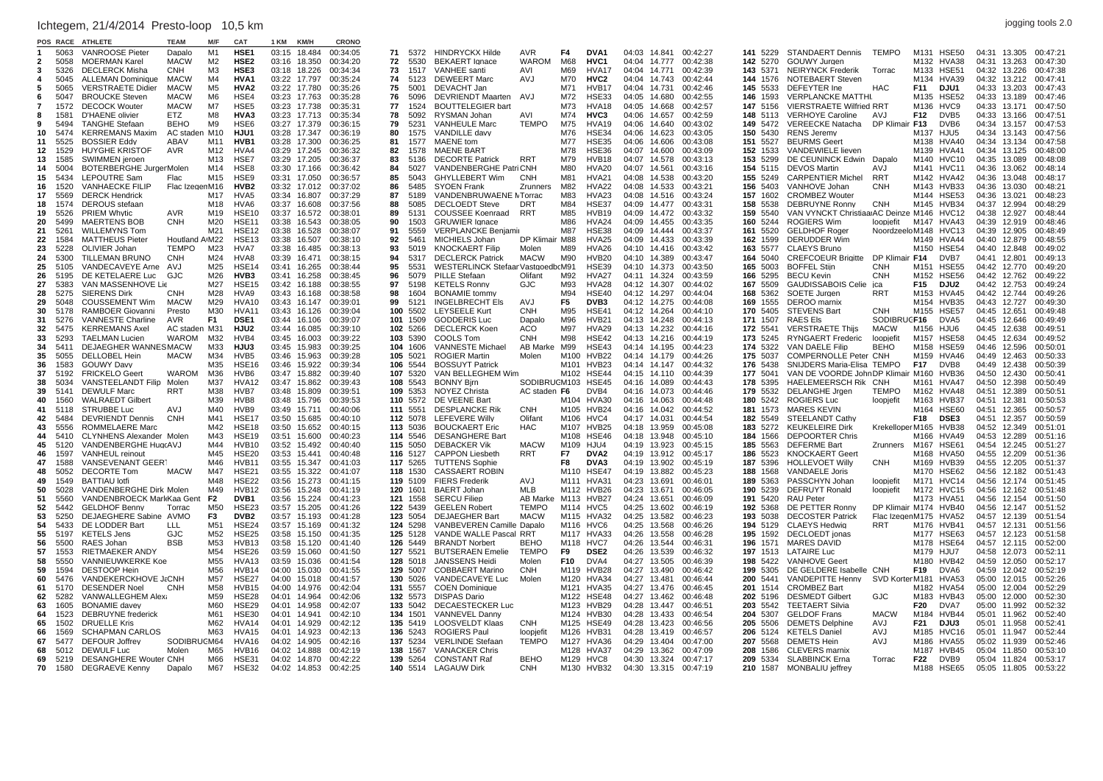## jogging tools 2.0 Ichtegem, 21/4/2014 Presto-loop 10,5 km

|     | POS RACE | <b>ATHLET</b>                   | TEAM           |                 | CA1               | 1 KM  | <b>KM/H</b>  | CRONO    |    |          |                                  |                    |      |                   |              |        |          |             |                                          |                |                                   |       |              |          |
|-----|----------|---------------------------------|----------------|-----------------|-------------------|-------|--------------|----------|----|----------|----------------------------------|--------------------|------|-------------------|--------------|--------|----------|-------------|------------------------------------------|----------------|-----------------------------------|-------|--------------|----------|
|     | 5063     | <b>VANROOSE Pieter</b>          | Dapalo         | M1              | HSE <sub>1</sub>  | 03:15 | 18.484       | 00:34:05 | 71 | 5372     | <b>HINDRYCKX Hilde</b>           | <b>AVR</b>         | F4   | DVA <sub>1</sub>  | 04:03 14.841 |        | 00:42:27 | 141 5229    | STANDAERT Dennis TEMPO                   |                | M131 HSE50                        |       | 04:31 13.305 | 00:47:21 |
|     | 5058     | <b>MOERMAN Karel</b>            | <b>MACW</b>    | M <sub>2</sub>  | HSE <sub>2</sub>  |       | 03:16 18.350 | 00:34:20 | 72 | 5530     | <b>BEKAERT</b> lanace            | <b>WAROM</b>       | M68  | HVC <sub>1</sub>  | 04:04 14.777 |        | 00:42:38 | 142 5270    | GOUWY Jurgen                             |                | M132 HVA38                        | 04:31 | 13.263       | 00:47:30 |
|     |          |                                 |                |                 |                   |       |              |          |    |          |                                  |                    |      |                   |              |        |          |             |                                          |                |                                   |       |              |          |
| 3   | 5326     | <b>DECLERCK Misha</b>           | CNH            | M <sub>3</sub>  | HSE3              |       | 03:18 18.226 | 00:34:34 | 73 | 1517     | VANHEE santi                     | AVI                | M69  | HVA <sub>17</sub> | 04:04 14.771 |        | 00:42:39 | 143<br>5371 | <b>NEIRYNCK Frederik</b>                 | Torrac         | M133 HSE51                        |       | 04:32 13.226 | 00:47:38 |
|     | 5045     | <b>ALLEMAN Dominique</b>        | <b>MACW</b>    | M4              | HVA <sub>1</sub>  |       | 03:22 17.797 | 00:35:24 | 74 | 5123     | <b>DEWEERT Marc</b>              | AVJ                | M70  | HVC <sub>2</sub>  | 04:04 14.743 |        | 00:42:44 | 144 1576    | <b>NOTEBAERT Steven</b>                  |                | M134 HVA39                        |       | 04:32 13.212 | 00:47:41 |
| 5   | 5065     | <b>VERSTRAETE Didier</b>        | <b>MACW</b>    | M5              | <b>HVA2</b>       |       | 03:22 17.780 | 00:35:26 | 75 | 5001     | DEVACHT Jan                      |                    | M71  | HVB17             | 04:04 14.731 |        | 00:42:46 | 145<br>5533 | DEFEYTER Ine                             | <b>HAC</b>     | F11<br>DJU1                       |       | 04:33 13.203 | 00:47:43 |
| -6  | 5047     | <b>BROUCKE Steven</b>           | <b>MACW</b>    | M6              | HSE4              |       | 03:23 17.763 | 00:35:28 | 76 | 5096     | <b>DEVRIENDT Maarten</b>         | AVJ                | M72  | <b>HSE33</b>      | 04:05        | 14.680 | 00:42:55 | 146<br>1593 | <b>VERPLANCKE MATTHL</b>                 |                | M135 HSE52                        |       | 04:33 13.189 | 00:47:46 |
|     |          |                                 |                |                 |                   |       |              |          |    |          |                                  |                    |      |                   |              |        |          |             |                                          |                |                                   |       |              |          |
|     | 1572     | <b>DECOCK Wouter</b>            | <b>MACW</b>    | M7              | HSE <sub>5</sub>  |       | 03:23 17.738 | 00:35:31 | 77 | 1524     | <b>BOUTTELEGIER bart</b>         |                    | M73  | HVA18             | 04:05        | 14.668 | 00:42:57 | 147<br>5156 | <b>VIERSTRAETE Wilfried RRT</b>          |                | M136<br>HVC9                      |       | 04:33 13.171 | 00:47:50 |
|     | 1581     | D'HAENE olivier                 | ETZ            | M8              | HVA3              | 03:23 | 17.713       | 00:35:34 | 78 | 5092     | RYSMAN Johan                     | AVI                | M74  | HVC3              | 04:06        | 14.657 | 00:42:59 | 148<br>5113 | <b>VERHOYE Caroline</b>                  | AVJ            | F12<br>DVB5                       | 04:33 | 13.166       | 00:47:51 |
|     | 5494     | <b>TANGHE Stefaan</b>           | <b>BEHO</b>    | M9              | HSE <sub>6</sub>  | 03:27 | 17.379       | 00:36:15 | 79 | 5231     | <b>VANHEULE Marc</b>             | <b>TEMPO</b>       | M75  | HVA <sub>19</sub> | 04:06        | 14.640 | 00:43:02 | 149<br>5472 | VEREECKE Natacha                         | DP Klimair F13 | DVB <sub>6</sub>                  | 04:34 | 13.157       | 00:47:53 |
| 10  | 5474     | <b>KERREMANS Maxim</b>          | AC staden M10  |                 | HJU1              | 03:28 | 17.347       | 00:36:19 | 80 | 1575     | VANDILLE davy                    |                    | M76  | HSE34             | 04:06        | 14.623 | 00:43:05 | 150<br>5430 | <b>RENS Jeremv</b>                       |                | M <sub>137</sub><br><b>H.ILI5</b> | 04:34 | 13.143       | 00:47:56 |
|     |          |                                 |                |                 |                   |       |              |          |    |          |                                  |                    |      |                   |              |        |          |             |                                          |                |                                   |       |              |          |
| 11  | 5525     | <b>BOSSIER Eddy</b>             | ABAV           | M11             | HVB1              | 03:28 | 17.300       | 00:36:25 | 81 | 1577     | <b>MAENE</b> tom                 |                    | M77  | <b>HSE35</b>      | 04:06        | 14.606 | 00:43:08 | 151 5527    | <b>BEURMS Geert</b>                      |                | M138 HVA40                        |       | 04:34 13.134 | 00:47:58 |
| 12  | 1529     | <b>HUYGHE KRISTOF</b>           | <b>AVR</b>     | M12             | HVA4              | 03:29 | 17.245       | 00:36:32 | 82 | 1578     | <b>MAENE BART</b>                |                    | M78  | <b>HSE36</b>      | 04:07 14.600 |        | 00:43:09 | 152 1533    | VANDEWIELE lieven                        |                | M139 HVA41                        |       | 04:34 13.125 | 00:48:00 |
| 13  | 1585     | SWIMMEN jeroen                  |                | M <sub>13</sub> | HSE7              |       | 03:29 17.205 | 00:36:37 | 83 | 5136     | <b>DECORTE Patrick</b>           | <b>RRT</b>         | M79  | HVB18             | 04:07 14.578 |        | 00:43:13 | 153 5299    | DE CEUNINCK Edwin Dapalo                 |                | M140 HVC10                        |       | 04:35 13.089 | 00:48:08 |
| 14  | 5004     | BOTERBERGHE JurgerMolen         |                | M14             | HSE8              | 03:30 | 17.166       | 00:36:42 | 84 | 5027     | <b>VANDENBERGHE PatriCNH</b>     |                    | M80  | HVA20             | 04:07 14.561 |        | 00:43:16 | 154<br>5115 | <b>DEVOS Martin</b>                      | AVJ            | M141 HVC11                        |       | 04:36 13.062 | 00:48:14 |
|     |          |                                 |                |                 |                   |       |              |          |    |          |                                  |                    |      |                   |              |        |          |             |                                          |                |                                   |       |              |          |
| 15  | 5434     | LEPOUTRE Sam                    | Flac           | M15             | HSE9              |       | 03:31 17.050 | 00:36:57 | 85 | 5043     | <b>GHYLLEBERT Wim</b>            | <b>CNH</b>         | M81  | HVA21             | 04:08 14.538 |        | 00:43:20 | 155<br>5249 | <b>CARPENTIER Michel</b>                 | <b>RRT</b>     | M142 HVA42                        |       | 04:36 13.048 | 00:48:17 |
| 16  | 1520     | <b>VANHAECKE FILIP</b>          | Flac IzegenM16 |                 | HVB <sub>2</sub>  |       | 03:32 17.012 | 00:37:02 | 86 | 5485     | <b>SYOEN Frank</b>               | Zrunners           | M82  | HVA22             | 04:08        | 14.533 | 00:43:21 | 156 5403    | VANHOVE Johan                            | <b>CNH</b>     | M143 HVB33                        |       | 04:36 13.030 | 00:48:21 |
| 17  | 5569     | <b>DERCK Hendrick</b>           |                | M17             | HVA <sub>5</sub>  | 03:34 | 16.807       | 00:37:29 | 87 | 5189     | VANDENBRUWAENE MTorrac           |                    | M83  | HVA <sub>23</sub> | 04:08        | 14.516 | 00:43:24 | 157<br>1602 | <b>CROMBEZ Wouter</b>                    |                | M144 HSE53                        |       | 04:36 13.021 | 00:48:23 |
| 18  | 1574     | <b>DEROUS</b> stefaan           |                | M18             | HVA <sub>6</sub>  | 03:37 | 16.608       | 00:37:56 | 88 | 5085     | <b>DECLOEDT Steve</b>            | <b>DRT</b>         | M84  | <b>HSE37</b>      | 04:09        | 14.477 | 00:43:31 | 158<br>5538 | DEBRUYNE Ronny                           | <b>CNH</b>     | M145 HVB34                        | 04:37 | 12.994       | 00:48:29 |
|     |          |                                 |                |                 |                   |       |              |          |    |          |                                  |                    |      |                   |              |        |          |             |                                          |                |                                   |       |              |          |
| 19  | 5526     | <b>PRIEM Whytic</b>             | AVR            | M19             | <b>HSE10</b>      | 03:37 | 16.572       | 00:38:01 | 89 | 5131     | <b>COUSSEE Koenraad</b>          | RRT                | M85  | HVB19             | 04:09        | 14.472 | 00:43:32 | 159<br>5540 | VAN VYNCKT ChristiaarAC Deinze M146      |                | HVC12                             | 04:38 | 12.927       | 00:48:44 |
| 20  | 5499     | <b>MAERTENS BOB</b>             | <b>CNH</b>     | M20             | <b>HSE11</b>      | 03:38 | 16.543       | 00:38:05 | 90 | 1503     | <b>GRUWIER Ignace</b>            |                    | M86  | HVA24             | 04:09        | 14.455 | 00:43:35 | 160<br>5244 | <b>ROGIERS Wim</b>                       | loopiefit      | M147 HVA43                        | 04:39 | 12.919       | 00:48:46 |
| 21  | 5261     | <b>WILLEMYNS Tom</b>            |                | M21             | HSE <sub>12</sub> | 03:38 | 16.528       | 00:38:07 | 91 | 5559     | <b>VERPLANCKE Benjamir</b>       |                    | M87  | <b>HSE38</b>      | 04:09 14.444 |        | 00:43:37 | 161 5520    | <b>GELDHOF Roger</b>                     |                | NoordzeeloM148 HVC13              |       | 04:39 12.905 | 00:48:49 |
| 22  | 1584     | <b>MATTHEUS Pieter</b>          | Houtland A(M22 |                 | <b>HSE13</b>      | 03:38 | 16.507       | 00:38:10 | 92 | 5461     | MICHIELS Johan                   | DP Klimair M88     |      | HVA <sub>25</sub> | 04:09 14.433 |        | 00:43:39 | 162<br>1599 | <b>DERUDDER Wim</b>                      |                | M149 HVA44                        |       | 04:40 12.879 | 00:48:55 |
|     |          |                                 |                |                 |                   |       |              |          |    |          |                                  |                    |      |                   |              |        |          |             |                                          |                |                                   |       |              |          |
| 23  | 5228     | OLIVIER Johan                   | <b>TEMPO</b>   | M23             | HVA7              | 03:38 | 16.485       | 00:38:13 | 93 | 5019     | <b>KNOCKAERT Filip</b>           | Molen              | M89  | HVA26             | 04:10 14.416 |        | 00:43:42 | 163<br>5577 | <b>CLAEYS Bruno</b>                      |                | M150 HSE54                        |       | 04:40 12.848 | 00:49:02 |
| 24  | 5300     | <b>TILLEMAN BRUNO</b>           | CNH            | M24             | HVA8              | 03:39 | 16.471       | 00:38:15 | 94 | 5317     | <b>DECLERCK Patrick</b>          | <b>MACW</b>        | M90  | HVB20             | 04:10 14.389 |        | 00:43:47 | 164<br>5040 | CREFCOEUR Brigitte DP Klimair F14        |                | DVB7                              |       | 04:41 12.801 | 00:49:13 |
| 25  | 5105     | VANDECAVEYE Arne                | AVJ            | M25             | HSE <sub>14</sub> |       | 03:41 16.265 | 00:38:44 | 95 | 5531     | WESTERLINCK StefaarVastgoedbcM91 |                    |      | <b>HSE39</b>      | 04:10 14.373 |        | 00:43:50 | 165<br>5003 | <b>BOFFEL Stijn</b>                      | <b>CNH</b>     | HSE55<br>M151                     |       | 04:42 12.770 | 00:49:20 |
| 26  | 5195     | DE KETELAERE Luc                | G.IC           | M26             | HVB3              |       | 03:41 16.258 | 00:38:45 | 96 | 5079     | <b>PILLE Stefaan</b>             | Olifant            | M92  | HVA27             | 04:11 14.324 |        | 00:43:59 | 166<br>5295 | <b>BECU Kevin</b>                        | <b>CNH</b>     | M152 HSE56                        |       | 04:42 12.762 | 00:49:22 |
|     |          |                                 |                |                 |                   |       |              |          |    |          |                                  |                    |      |                   |              |        |          |             |                                          |                |                                   |       |              |          |
| 27  | 5383     | VAN MASSENHOVE Lie              |                | M27             | <b>HSE15</b>      |       | 03:42 16.188 | 00:38:55 | 97 | 5198     | <b>KETELS Ronny</b>              | GJC                | M93  | HVA28             | 04:12 14.307 |        | 00:44:02 | 167<br>5509 | <b>GAUDISSABOIS Celie</b>                | ica            | F15<br>DJU2                       |       | 04:42 12.753 | 00:49:24 |
| 28  | 5275     | <b>SIERENS Dirk</b>             | <b>CNH</b>     | M28             | HVA9              | 03:43 | 16.168       | 00:38:58 | 98 | 1604     | <b>BONAMIE</b> tommy             |                    | M94  | HSE40             | 04:12 14.297 |        | 00:44:04 | 168<br>5362 | SOETE Jurgen                             | <b>RRT</b>     | M153<br>HVA45                     |       | 04:42 12.744 | 00:49:26 |
| 29  | 5048     | <b>COUSSEMENT Wim</b>           | <b>MACW</b>    | M29             | HVA <sub>10</sub> | 03:43 | 16.147       | 00:39:01 | 99 | 5121     | <b>INGELBRECHT EIS</b>           | AVJ                | F5   | DVB3              | 04:12 14.275 |        | 00:44:08 | 169<br>1555 | DEROO marnix                             |                | M154 HVB35                        | 04:43 | 12.727       | 00:49:30 |
| 30  | 5178     | <b>RAMBOER Giovanni</b>         | Presto         | M30             | HVA <sub>11</sub> | 03:43 | 16.126       | 00:39:04 |    | 100 5502 | <b>LEYSEELE Kurt</b>             | <b>CNH</b>         | M95  | HSE41             | 04:12 14.264 |        | 00:44:10 | 170<br>5405 | <b>STEVENS Bart</b>                      | <b>CNH</b>     | M155<br>HSE57                     |       | 04:45 12.651 | 00:49:48 |
| 31  |          |                                 |                |                 |                   |       |              |          |    |          |                                  |                    |      |                   |              |        |          |             |                                          |                |                                   |       |              |          |
|     | 5276     | <b>VANNESTE Charline</b>        | AVR            | F <sub>1</sub>  | DSE <sub>1</sub>  |       | 03:44 16.106 | 00:39:07 |    | 101 1509 | <b>GODDERIS Luc</b>              | Dapalo             | M96  | HVB <sub>21</sub> | 04:13 14.248 |        | 00:44:13 | 171 1507    | <b>RAES Els</b>                          | SODIBRUGF16    | DVA5                              |       | 04:45 12.646 | 00:49:49 |
| 32  | 5475     | <b>KERREMANS Axel</b>           | AC staden M31  |                 | HJU <sub>2</sub>  |       | 03:44 16.085 | 00:39:10 |    | 102 5266 | <b>DECLERCK Koen</b>             | ACO                | M97  | HVA29             | 04:13 14.232 |        | 00:44:16 | 172 5541    | <b>VERSTRAETE Thiis</b>                  | <b>MACW</b>    | M156 HJU6                         |       | 04:45 12.638 | 00:49:51 |
| 33  | 5293     | <b>TAELMAN Lucien</b>           | WAROM          | M32             | HVB4              |       | 03:45 16.003 | 00:39:22 |    | 103 5390 | COOLS Tom                        | <b>CNH</b>         | M98  | HSE42             | 04:13 14.216 |        | 00:44:19 | 173 5245    | <b>RYNGAERT Frederic</b>                 | loopiefit      | M157 HSE58                        |       | 04:45 12.634 | 00:49:52 |
| 34  | 5411     | <b>DEJAEGHER WANNESMACW</b>     |                | M33             | HJU3              | 03:45 | 15.983       | 00:39:25 |    | 104 1606 | <b>VANNESTE Michael</b>          | AB Marke           | M99  | HSE43             | 04:14 14.195 |        | 00:44:23 | 174 5322    | <b>VAN DAELE Filip</b>                   | <b>BEHO</b>    | M158 HSE59                        |       | 04:46 12.596 | 00:50:01 |
|     |          |                                 |                |                 |                   |       |              |          |    |          |                                  |                    |      |                   |              |        |          |             |                                          |                |                                   |       |              |          |
| 35  | 5055     | DELLOBEL Hein                   | <b>MACW</b>    | M34             | HVB <sub>5</sub>  | 03:46 | 15.963       | 00:39:28 |    | 105 5021 | <b>ROGIER Martin</b>             | Molen              |      | M100 HVB22        | 04:14 14.179 |        | 00:44:26 | 175 5037    | <b>COMPERNOLLE Peter CNH</b>             |                | M159 HVA46                        |       | 04:49 12.463 | 00:50:33 |
| 36  | 1583     | <b>GOUWY Davy</b>               |                | M35             | <b>HSE16</b>      | 03:46 | 15.922       | 00:39:34 |    | 106 5544 | <b>BOSSUYT Patrick</b>           |                    |      | M101 HVB23        | 04:14 14.147 |        | 00:44:32 | 176 5438    | SNIJDERS Maria-Elisa TEMPO               |                | F17<br>DVB8                       |       | 04:49 12.438 | 00:50:39 |
| 37  | 5192     | <b>FRICKELO Geert</b>           | <b>WAROM</b>   | M36             | HVB6              |       | 03:47 15.882 | 00:39:40 |    | 107 5320 | VAN BELLEGHEM Wim                |                    |      | M102 HSE44        | 04:15 14.110 |        | 00:44:39 | 177 5041    | VAN DE VOORDE John DP Klimair M160 HVB36 |                |                                   |       | 04:50 12.430 | 00:50:41 |
| 38  | 5034     | <b>VANSTEELANDT Filip</b>       | Molen          | M37             | HVA <sub>12</sub> | 03:47 | 15.862       | 00:39:43 |    | 108 5543 | <b>BONNY Birn</b>                | SODIBRUGM103 HSE45 |      |                   | 04:16 14.089 |        | 00:44:43 | 178 5395    | HAELEMEERSCH Rik CNH                     |                | M161 HVA47                        | 04:50 | 12.398       | 00:50:49 |
|     |          |                                 |                |                 |                   |       |              |          |    |          |                                  |                    |      |                   |              |        |          |             |                                          |                |                                   |       |              |          |
| 39  | 5141     | <b>DEWULF Marc</b>              | <b>RRT</b>     | M38             | HVB7              | 03:48 | 15.809       | 00:39:51 |    | 109 5353 | <b>NOYEZ Christa</b>             | AC staden F6       |      | DVB4              | 04:16 14.073 |        | 00:44:46 | 179<br>5532 | DELANGHE Jrgen                           | <b>TEMPO</b>   | M162 HVA48                        | 04:51 | 12.389       | 00:50:51 |
| 40  | 1560     | <b>WALRAEDT Gilbert</b>         |                | M39             | HVB8              | 03:48 | 15.796       | 00:39:53 |    | 110 5572 | DE VEENE Bart                    |                    |      | M104 HVA30        | 04:16 14.063 |        | 00:44:48 | 180<br>5242 | <b>ROGIERS Luc</b>                       | loopiefit      | M163 HVB37                        | 04:51 | 12.381       | 00:50:53 |
| 41  | 5118     | <b>STRUBBE Luc</b>              | AVJ            | M40             | HVB9              |       | 03:49 15.711 | 00:40:06 |    | 111 5551 | <b>DESPLANCKE Rik</b>            | <b>CNH</b>         |      | M105 HVB24        | 04:16 14.042 |        | 00:44:52 | 181 1573    | <b>MARES KEVIN</b>                       |                | M164 HSE60                        | 04:51 | 12.365       | 00:50:57 |
| 42  | 5484     | <b>DEVRIENDT Dennis</b>         | CNH            | M41             | HSE17             | 03:50 | 15.685       | 00:40:10 |    | 112 5078 | <b>LEFEVERE Willy</b>            | Olifant            |      | M106 HVC4         | 04:17 14.031 |        | 00:44:54 | 182 5549    | <b>STEELANDT Cathv</b>                   |                | F18<br><b>DSE3</b>                | 04:51 | 12.357       | 00:50:59 |
|     |          |                                 |                |                 |                   |       |              |          |    |          |                                  |                    |      |                   |              |        |          |             |                                          |                |                                   |       |              |          |
| 43. | 5556     | <b>ROMMELAERE Marc</b>          |                | M42             | HSE <sub>18</sub> | 03:50 | 15.652       | 00:40:15 |    | 113 5036 | <b>BOUCKAERT Eric</b>            | <b>HAC</b>         |      | M107 HVB25        | 04:18 13.959 |        | 00:45:08 | 183<br>5272 | <b>KEUKELEIRE Dirk</b>                   |                | Krekelloper M165 HVB38            |       | 04:52 12.349 | 00:51:01 |
| 44  | 5410     | <b>CLYNHENS Alexander Molen</b> |                | M43             | HSE <sub>19</sub> | 03:51 | 15.600       | 00:40:23 |    | 114 5546 | <b>DESANGHERE Bart</b>           |                    | M108 | HSE46             | 04:18 13.948 |        | 00:45:10 | 184<br>1566 | <b>DEPOORTER Chris</b>                   |                | M166 HVA49                        |       | 04:53 12.289 | 00:51:16 |
| 45  | 5120     | VANDENBERGHE HugcAVJ            |                | M44             | HVB <sub>10</sub> | 03:52 | 15.492       | 00:40:40 |    | 115 5050 | <b>DEBACKER Vik</b>              | <b>MACW</b>        | M109 | HJU4              | 04:19 13.923 |        | 00:45:15 | 185<br>5563 | <b>DEFERME Bart</b>                      | Zrunners       | M167<br>HSE6 <sup>-</sup>         |       | 04:54 12.245 | 00:51:27 |
| 46  | 1597     | VANHEUL reinout                 |                | M45             | <b>HSE20</b>      | 03:53 | 15.441       | 00:40:48 |    | 116 5127 | <b>CAPPON Liesbeth</b>           | <b>RRT</b>         | F7   | DVA <sub>2</sub>  | 04:19        | 13.912 | 00:45:17 | 186<br>5523 | <b>KNOCKAERT Geert</b>                   |                | M168 HVA50                        |       | 04:55 12.209 | 00:51:36 |
| 47  | 1588     | VANSEVENANT GEER                |                | M46             | HVB <sub>11</sub> |       | 03:55 15.347 | 00:41:03 |    | 117 5265 | <b>TUTTENS Sophie</b>            |                    | F8   | DVA3              | 04:19 13.902 |        | 00:45:19 | 187<br>5396 | <b>HOLLEVOET Willy</b>                   | <b>CNH</b>     | M169 HVB39                        |       | 04:55 12.205 | 00:51:37 |
|     |          |                                 |                |                 |                   |       |              |          |    |          |                                  |                    |      |                   |              |        |          |             |                                          |                |                                   |       |              |          |
| 48  | 5052     | <b>DECORTE Tom</b>              | <b>MACW</b>    | M47             | <b>HSE21</b>      | 03:55 | 15.322       | 00:41:07 |    | 118 1530 | <b>CASSAERT ROBIN</b>            |                    | M110 | HSE47             | 04:19        | 13.882 | 00:45:23 | 188<br>1568 | <b>VANDAELE Joris</b>                    |                | M170<br>HSE62                     | 04:56 | 12.182       | 00:51:43 |
| 49  | 1549     | <b>BATTIAU</b> lotfi            |                | M48             | <b>HSE22</b>      | 03:56 | 15.273       | 00:41:15 |    | 119 5109 | <b>FIERS Frederik</b>            | AVJ                | M111 | HVA31             | 04:23        | 13.691 | 00:46:01 | 189<br>5363 | PASSCHYN Johan                           | loopjefit      | M171 HVC14                        | 04:56 | 12.174       | 00:51:45 |
| 50  | 5028     | <b>VANDENBERGHE Dirk Molen</b>  |                | M49             | HVB <sub>12</sub> | 03:56 | 15.248       | 00:41:19 |    | 120 1601 | <b>BAERT Johan</b>               | <b>MLB</b>         | M112 | HVB26             | 04:23        | 13.671 | 00:46:05 | 190<br>5239 | <b>DEFRUYT Ronald</b>                    | loopiefit      | M172 HVC15                        | 04:56 | 12.162       | 00:51:48 |
| 51  | 5560     | VANDENBROECK MarkKaa Gent       |                | F <sub>2</sub>  | DVB <sub>1</sub>  | 03:56 | 15.224       | 00:41:23 |    | 121 1558 | <b>SERCU Filiep</b>              | AB Marke           |      | M113 HVB27        | 04:24        | 13.651 | 00:46:09 | 191<br>5420 | RAU Peter                                |                | M173 HVA5'                        | 04:56 | 12.154       | 00:51:50 |
|     |          |                                 |                |                 |                   |       |              |          |    |          |                                  |                    |      |                   |              |        |          |             |                                          |                |                                   |       |              |          |
| 52  | 5442     | <b>GELDHOF Benny</b>            | Torrac         | M50             | HSE23             | 03:57 | 15.205       | 00:41:26 |    | 122 5439 | <b>GEELEN Robert</b>             | <b>TEMPO</b>       |      | M114 HVC5         | 04:25        | 13.602 | 00:46:19 | 192<br>5368 | DE PETTER Ronny                          |                | DP Klimair M174 HVB40             |       | 04:56 12.147 | 00:51:52 |
| 53  | 5250     | DEJAEGHERE Sabine AVMO          |                | F <sub>3</sub>  | DVB <sub>2</sub>  |       | 03:57 15.193 | 00:41:28 |    | 123 5054 | <b>DEJAEGHER Bart</b>            | <b>MACW</b>        |      | M115 HVA32        | 04:25        | 13.582 | 00:46:23 | 193 5038    | <b>DECOSTER Patrick</b>                  |                | Flac IzegenM175 HVA52             |       | 04:57 12.139 | 00:51:54 |
| 54  | 5433     | DE LODDER Bart                  | LЦ             | M51             | HSE24             | 03:57 | 15.169       | 00:41:32 |    | 124 5298 | VANBEVEREN Camille Dapalo        |                    |      | M116 HVC6         | 04:25 13.568 |        | 00:46:26 | 194 5129    | <b>CLAEYS Hedwig</b>                     | <b>RRT</b>     | M176 HVB41                        |       | 04:57 12.131 | 00:51:56 |
| 55  | 5197     | <b>KETELS Jens</b>              | GJC            | M <sub>52</sub> | <b>HSE25</b>      | 03:58 | 15.150       | 00:41:35 |    | 125 5128 | VANDE WALLE Pascal RRT           |                    |      | M117 HVA33        | 04:26        | 13.558 | 00:46:28 | 195<br>1592 | DECLOEDT ionas                           |                | M177 HSE63                        |       | 04:57 12.123 | 00:51:58 |
|     |          |                                 |                | M <sub>53</sub> |                   |       |              |          |    |          |                                  |                    |      |                   |              |        |          |             |                                          |                |                                   |       |              |          |
| 56. | 5500     | RAES Johan                      | <b>BSF</b>     |                 | HVB <sub>13</sub> | 03:58 | 15.120       | 00:41:40 |    | 126 5449 | <b>BRANDT Norbert</b>            | <b>BEHO</b>        |      | M118 HVC7         | 04:26        | 13.544 | 00:46:31 | 1571<br>196 | <b>MARES DAVID</b>                       |                | M178 HSE64                        |       | 04:57 12.115 | 00:52:00 |
| 57  | 1553     | <b>RIETMAEKER ANDY</b>          |                | M <sub>54</sub> | <b>HSE26</b>      | 03:59 | 15.060       | 00:41:50 |    | 127 5521 | <b>BUTSERAEN Emelie</b>          | <b>TEMPO</b>       | F9   | <b>DSE2</b>       | 04:26        | 13.539 | 00:46:32 | 197 1513    | <b>LATAIRE Luc</b>                       |                | M179 HJU7                         |       | 04:58 12.073 | 00:52:11 |
| 58  | 5550     | <b>VANNIEUWKERKE Koe</b>        |                | M <sub>55</sub> | HVA <sub>13</sub> | 03:59 | 15.036       | 00:41:54 |    | 128 5018 | <b>JANSSENS Heidi</b>            | Molen              | F10  | DVA4              | 04:27        | 13.505 | 00:46:39 | 198 5422    | <b>VANHOVE Geert</b>                     |                | M180 HVB42                        |       | 04:59 12.050 | 00:52:17 |
| 59  | 1594     | <b>DESTOOP Hein</b>             |                | M56             | HVB <sub>14</sub> | 04:00 | 15.030       | 00:41:55 |    | 129 5007 | <b>COBBAERT Marino</b>           | <b>CNH</b>         |      | M119 HVB28        | 04:27        | 13.490 | 00:46:42 | 199<br>5305 | DE GELDERE Isabelle CNH                  |                | F19<br>DVA6                       |       | 04:59 12.042 | 00:52:19 |
|     |          |                                 |                |                 |                   |       |              |          |    |          |                                  |                    |      |                   |              |        |          |             |                                          |                |                                   |       |              |          |
| 60  | 5476     | VANDEKERCKHOVE J&CNH            |                | M <sub>57</sub> | HSE27             | 04:00 | 15.018       | 00:41:57 |    | 130 5026 | VANDECAVEYE Luc                  | Molen              | M120 | HVA34             | 04:27        | 13.481 | 00:46:44 | 200<br>5441 | <b>VANDEPITTE Henny</b>                  | SVD KortenM181 | HVA <sub>53</sub>                 | 05:00 | 12.015       | 00:52:26 |
| 61  | 5170     | <b>DESENDER Noel</b>            | CNH            | M58             | HVB15             | 04:00 | 14.976       | 00:42:04 |    | 131 5557 | <b>COEN Dominique</b>            |                    | M121 | HVA35             | 04:27        | 13.476 | 00:46:45 | 201 1514    | <b>CROMBEZ Bart</b>                      |                | M182 HVA54                        | 05:00 | 12.004       | 00:52:29 |
| 62  | 5282     | VANWALLEGHEM Alexa              |                | M <sub>59</sub> | <b>HSE28</b>      | 04:01 | 14.964       | 00:42:06 |    | 132 5573 | <b>DISPAS Dario</b>              |                    |      | M122 HSE48        | 04:27        | 13.462 | 00:46:48 | 202 5196    | <b>DESMEDT Gilbert</b>                   | <b>GJC</b>     | M183<br>HVB43                     |       | 05:00 12.000 | 00:52:30 |
| 63  | 1605     | <b>BONAMIE</b> davey            |                | M60             | <b>HSE29</b>      |       | 04:01 14.958 | 00:42:07 |    | 133 5042 | <b>DECAESTECKER Luc</b>          |                    | M123 | HVB29             | 04:28        | 13.447 | 00:46:51 | 203 5542    | <b>TEETAERT Silvia</b>                   |                | F20<br>DVA7                       |       | 05:00 11.992 | 00:52:32 |
| 64  | 1523     | <b>DEBRUYNE</b> frederick       |                | M61             | <b>HSE30</b>      |       |              | 00:42:10 |    | 134 1501 | <b>VANNEVEL Danny</b>            |                    |      | M124 HVB30        | 04:28        | 13.433 | 00:46:54 | 204 5307    | <b>GELDOF Frans</b>                      | <b>MACW</b>    | M184 HVB44                        |       | 05:01 11.962 | 00:52:40 |
|     |          |                                 |                |                 |                   |       | 04:01 14.941 |          |    |          |                                  |                    |      |                   |              |        |          |             |                                          |                |                                   |       |              |          |
| 65  | 1502     | <b>DRUELLE Kris</b>             |                | M62             | HVA14             | 04:01 | 14.929       | 00:42:12 |    | 135 5419 | LOOSVELDT Klaas                  | <b>CNH</b>         |      | M125 HSE49        | 04:28        | 13.423 | 00:46:56 | 205<br>5506 | <b>DEMETS Delphine</b>                   | AVJ            | F21<br>DJU3                       |       | 05:01 11.958 | 00:52:41 |
| 66  | 1569     | <b>SCHAPMAN CARLOS</b>          |                | M63             | HVA <sub>15</sub> | 04:01 | 14.923       | 00:42:13 |    | 136 5243 | <b>ROGIERS Paul</b>              | loopiefit          |      | M126 HVB31        | 04:28        | 13.419 | 00:46:57 | 206<br>5124 | <b>KETELS Daniel</b>                     | AVJ            | M185 HVC16                        |       | 05:01 11.947 | 00:52:44 |
| 67  | 5477     | <b>DEFOUR Joffrey</b>           | SODIBRUGM64    |                 | HVA <sub>16</sub> | 04:02 | 14.905       | 00:42:16 |    | 137 5234 | <b>VERLINDE Stefaan</b>          | <b>TEMPO</b>       |      | M127 HVA36        | 04:29        | 13.404 | 00:47:00 | 207<br>5568 | <b>DEMETS Hein</b>                       | AVJ            | M186 HVA55                        |       | 05:02 11.939 | 00:52:46 |
| 68  | 5012     | <b>DEWULF Luc</b>               | Molen          | M65             | HVB <sub>16</sub> | 04:02 | 14.888       | 00:42:19 |    | 138 1567 | <b>VANACKER Chris</b>            |                    |      | M128 HVA37        | 04:29        | 13.362 | 00:47:09 | 208<br>1586 | <b>CLEVERS</b> marnix                    |                | M <sub>187</sub><br>HVB45         |       | 05:04 11.850 | 00:53:10 |
|     |          |                                 |                |                 |                   |       |              |          |    |          |                                  |                    |      |                   |              |        |          |             |                                          |                |                                   |       |              |          |
| 69  | 5219     | <b>DESANGHERE Wouter CNH</b>    |                | M66             | <b>HSE31</b>      | 04:02 | 14.870       | 00:42:22 |    | 139 5264 | <b>CONSTANT Raf</b>              | <b>BEHO</b>        |      | M129 HVC8         | 04:30        | 13.324 | 00:47:17 | 209<br>5334 | <b>SLABBINCK Erna</b>                    | Torrac         | DVB9<br>F22                       |       | 05:04 11.824 | 00:53:17 |
| 70  | 1580     | <b>DEGRAEVE Kenny</b>           | Dapalo         | M67             | HSE32             | 04:02 | 14.853       | 00:42:25 |    | 140 5514 | <b>LAGAUW Dirk</b>               | <b>CNH</b>         |      | M130 HVB32        | 04:30        | 13.315 | 00:47:19 | 210 1587    | MONBALIU jeffrey                         |                | M188<br>HSE65                     |       | 05:05 11.805 | 00:53:22 |
|     |          |                                 |                |                 |                   |       |              |          |    |          |                                  |                    |      |                   |              |        |          |             |                                          |                |                                   |       |              |          |